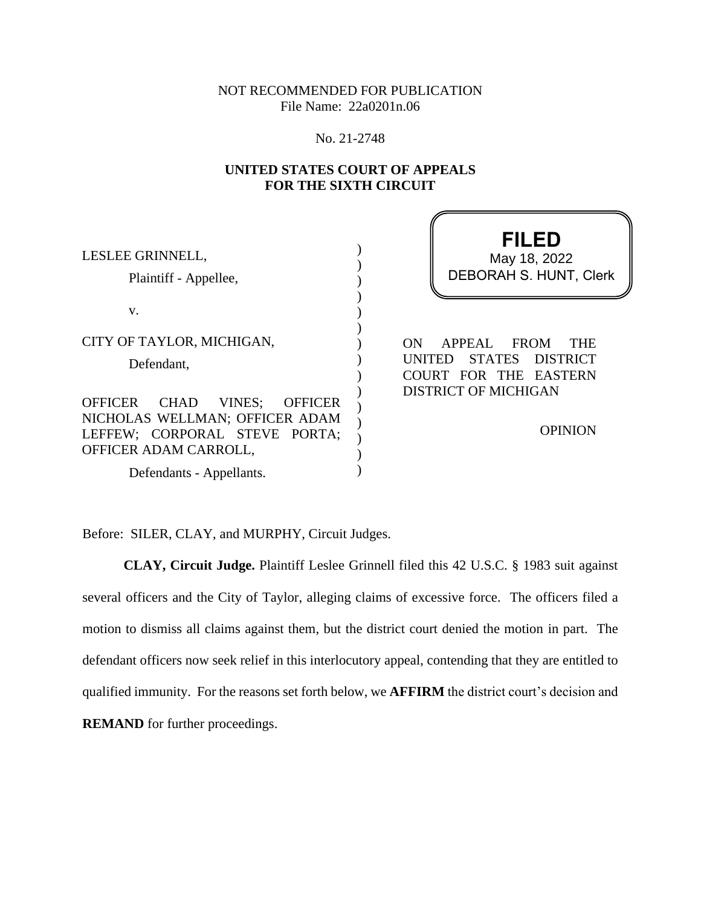NOT RECOMMENDED FOR PUBLICATION File Name: 22a0201n.06

No. 21-2748

# **UNITED STATES COURT OF APPEALS FOR THE SIXTH CIRCUIT**

11

| LESLEE GRINNELL,<br>Plaintiff - Appellee,                                                                                                      | <b>FILED</b><br>May 18, 2022<br><b>DEBORAH S. HUNT, Clerk</b>                                             |
|------------------------------------------------------------------------------------------------------------------------------------------------|-----------------------------------------------------------------------------------------------------------|
| V.                                                                                                                                             |                                                                                                           |
| CITY OF TAYLOR, MICHIGAN,<br>Defendant,                                                                                                        | APPEAL<br><b>FROM</b><br><b>THE</b><br>ON<br><b>STATES</b><br>DISTRICT<br>UNITED<br>COURT FOR THE EASTERN |
| <b>OFFICER</b><br>CHAD<br>VINES;<br><b>OFFICER</b><br>NICHOLAS WELLMAN; OFFICER ADAM<br>LEFFEW; CORPORAL STEVE PORTA;<br>OFFICER ADAM CARROLL, | <b>DISTRICT OF MICHIGAN</b><br><b>OPINION</b>                                                             |
| Defendants - Appellants.                                                                                                                       |                                                                                                           |

Before: SILER, CLAY, and MURPHY, Circuit Judges.

**CLAY, Circuit Judge.** Plaintiff Leslee Grinnell filed this 42 U.S.C. § 1983 suit against several officers and the City of Taylor, alleging claims of excessive force. The officers filed a motion to dismiss all claims against them, but the district court denied the motion in part. The defendant officers now seek relief in this interlocutory appeal, contending that they are entitled to qualified immunity. For the reasons set forth below, we **AFFIRM** the district court's decision and **REMAND** for further proceedings.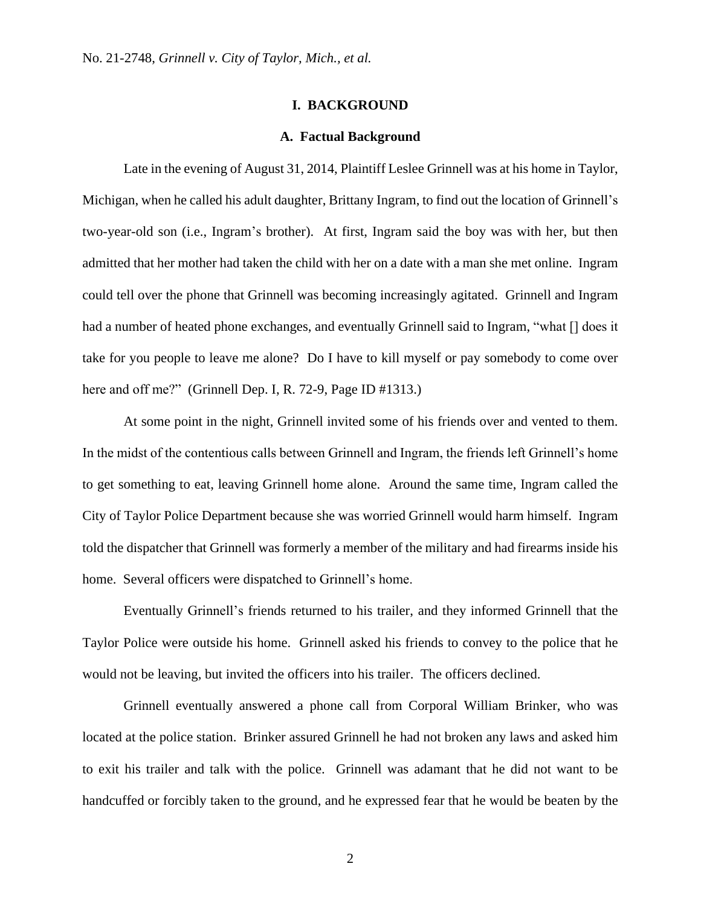## **I. BACKGROUND**

#### **A. Factual Background**

Late in the evening of August 31, 2014, Plaintiff Leslee Grinnell was at his home in Taylor, Michigan, when he called his adult daughter, Brittany Ingram, to find out the location of Grinnell's two-year-old son (i.e., Ingram's brother). At first, Ingram said the boy was with her, but then admitted that her mother had taken the child with her on a date with a man she met online. Ingram could tell over the phone that Grinnell was becoming increasingly agitated. Grinnell and Ingram had a number of heated phone exchanges, and eventually Grinnell said to Ingram, "what  $\lceil$  does it take for you people to leave me alone? Do I have to kill myself or pay somebody to come over here and off me?" (Grinnell Dep. I, R. 72-9, Page ID #1313.)

At some point in the night, Grinnell invited some of his friends over and vented to them. In the midst of the contentious calls between Grinnell and Ingram, the friends left Grinnell's home to get something to eat, leaving Grinnell home alone. Around the same time, Ingram called the City of Taylor Police Department because she was worried Grinnell would harm himself. Ingram told the dispatcher that Grinnell was formerly a member of the military and had firearms inside his home. Several officers were dispatched to Grinnell's home.

Eventually Grinnell's friends returned to his trailer, and they informed Grinnell that the Taylor Police were outside his home. Grinnell asked his friends to convey to the police that he would not be leaving, but invited the officers into his trailer. The officers declined.

Grinnell eventually answered a phone call from Corporal William Brinker, who was located at the police station. Brinker assured Grinnell he had not broken any laws and asked him to exit his trailer and talk with the police. Grinnell was adamant that he did not want to be handcuffed or forcibly taken to the ground, and he expressed fear that he would be beaten by the

2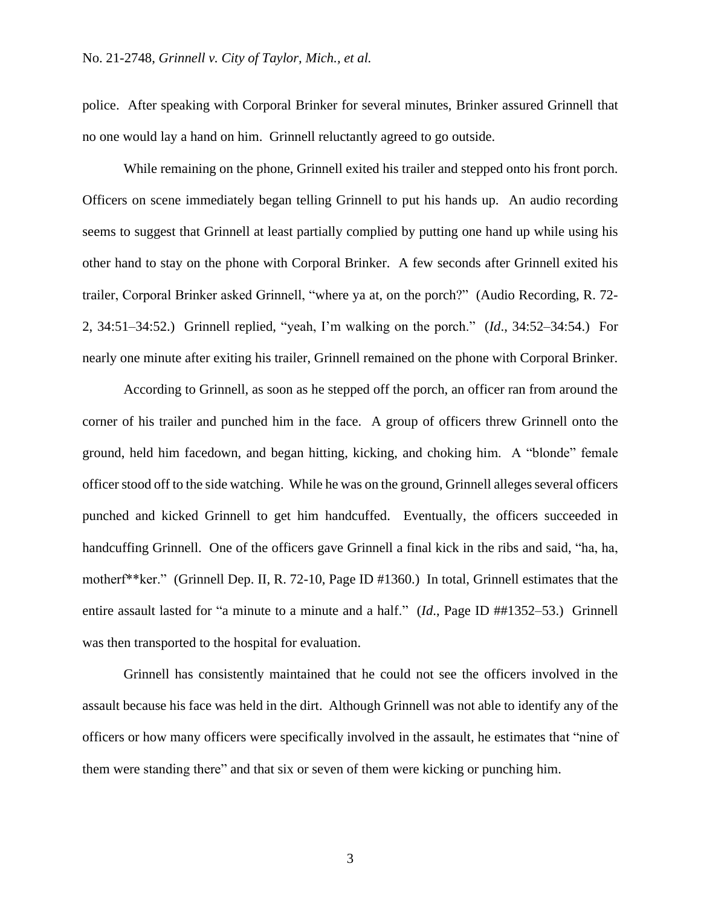police. After speaking with Corporal Brinker for several minutes, Brinker assured Grinnell that no one would lay a hand on him. Grinnell reluctantly agreed to go outside.

While remaining on the phone, Grinnell exited his trailer and stepped onto his front porch. Officers on scene immediately began telling Grinnell to put his hands up. An audio recording seems to suggest that Grinnell at least partially complied by putting one hand up while using his other hand to stay on the phone with Corporal Brinker. A few seconds after Grinnell exited his trailer, Corporal Brinker asked Grinnell, "where ya at, on the porch?" (Audio Recording, R. 72- 2, 34:51–34:52.) Grinnell replied, "yeah, I'm walking on the porch." (*Id*., 34:52–34:54.) For nearly one minute after exiting his trailer, Grinnell remained on the phone with Corporal Brinker.

According to Grinnell, as soon as he stepped off the porch, an officer ran from around the corner of his trailer and punched him in the face. A group of officers threw Grinnell onto the ground, held him facedown, and began hitting, kicking, and choking him. A "blonde" female officer stood off to the side watching. While he was on the ground, Grinnell alleges several officers punched and kicked Grinnell to get him handcuffed. Eventually, the officers succeeded in handcuffing Grinnell. One of the officers gave Grinnell a final kick in the ribs and said, "ha, ha, motherf\*\*ker." (Grinnell Dep. II, R. 72-10, Page ID #1360.) In total, Grinnell estimates that the entire assault lasted for "a minute to a minute and a half." (*Id*., Page ID ##1352–53.) Grinnell was then transported to the hospital for evaluation.

Grinnell has consistently maintained that he could not see the officers involved in the assault because his face was held in the dirt. Although Grinnell was not able to identify any of the officers or how many officers were specifically involved in the assault, he estimates that "nine of them were standing there" and that six or seven of them were kicking or punching him.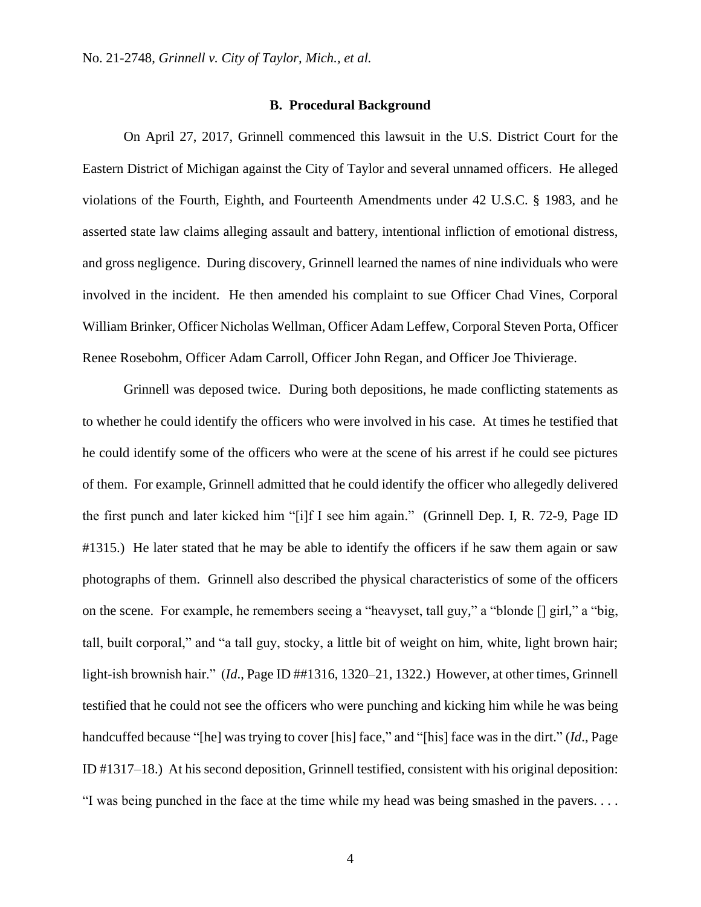## **B. Procedural Background**

On April 27, 2017, Grinnell commenced this lawsuit in the U.S. District Court for the Eastern District of Michigan against the City of Taylor and several unnamed officers. He alleged violations of the Fourth, Eighth, and Fourteenth Amendments under 42 U.S.C. § 1983, and he asserted state law claims alleging assault and battery, intentional infliction of emotional distress, and gross negligence. During discovery, Grinnell learned the names of nine individuals who were involved in the incident. He then amended his complaint to sue Officer Chad Vines, Corporal William Brinker, Officer Nicholas Wellman, Officer Adam Leffew, Corporal Steven Porta, Officer Renee Rosebohm, Officer Adam Carroll, Officer John Regan, and Officer Joe Thivierage.

Grinnell was deposed twice. During both depositions, he made conflicting statements as to whether he could identify the officers who were involved in his case. At times he testified that he could identify some of the officers who were at the scene of his arrest if he could see pictures of them. For example, Grinnell admitted that he could identify the officer who allegedly delivered the first punch and later kicked him "[i]f I see him again." (Grinnell Dep. I, R. 72-9, Page ID #1315.)He later stated that he may be able to identify the officers if he saw them again or saw photographs of them. Grinnell also described the physical characteristics of some of the officers on the scene. For example, he remembers seeing a "heavyset, tall guy," a "blonde [] girl," a "big, tall, built corporal," and "a tall guy, stocky, a little bit of weight on him, white, light brown hair; light-ish brownish hair." (*Id*., Page ID ##1316, 1320–21, 1322.) However, at other times, Grinnell testified that he could not see the officers who were punching and kicking him while he was being handcuffed because "[he] was trying to cover [his] face," and "[his] face was in the dirt." (*Id*., Page ID #1317–18.) At his second deposition, Grinnell testified, consistent with his original deposition: "I was being punched in the face at the time while my head was being smashed in the pavers. . . .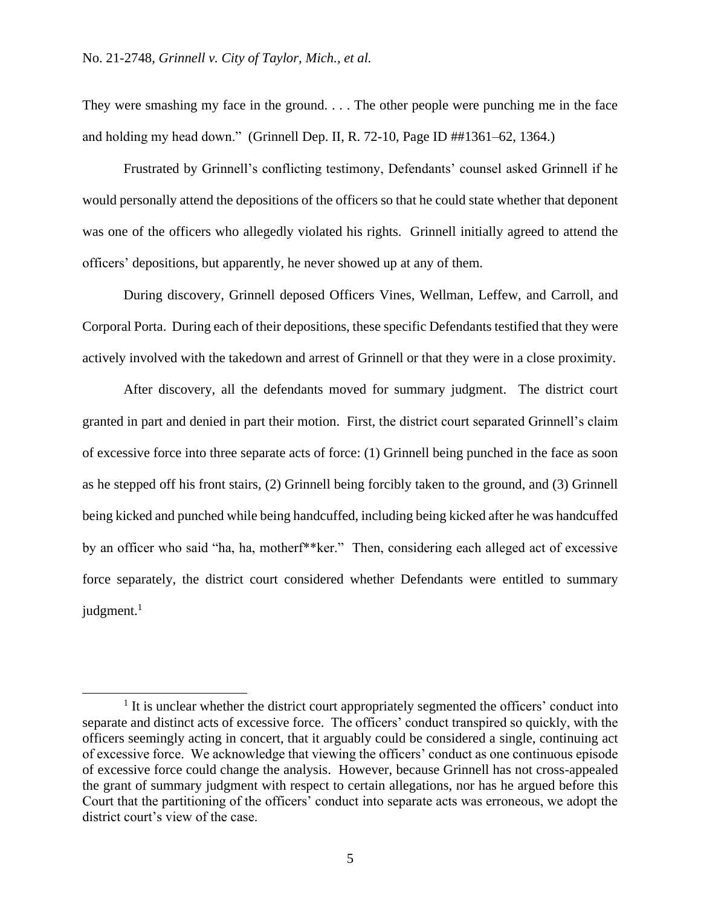They were smashing my face in the ground. . . . The other people were punching me in the face and holding my head down." (Grinnell Dep. II, R. 72-10, Page ID ##1361–62, 1364.)

Frustrated by Grinnell's conflicting testimony, Defendants' counsel asked Grinnell if he would personally attend the depositions of the officers so that he could state whether that deponent was one of the officers who allegedly violated his rights. Grinnell initially agreed to attend the officers' depositions, but apparently, he never showed up at any of them.

During discovery, Grinnell deposed Officers Vines, Wellman, Leffew, and Carroll, and Corporal Porta. During each of their depositions, these specific Defendants testified that they were actively involved with the takedown and arrest of Grinnell or that they were in a close proximity.

After discovery, all the defendants moved for summary judgment. The district court granted in part and denied in part their motion. First, the district court separated Grinnell's claim of excessive force into three separate acts of force: (1) Grinnell being punched in the face as soon as he stepped off his front stairs, (2) Grinnell being forcibly taken to the ground, and (3) Grinnell being kicked and punched while being handcuffed, including being kicked after he was handcuffed by an officer who said "ha, ha, motherf\*\*ker." Then, considering each alleged act of excessive force separately, the district court considered whether Defendants were entitled to summary judgment.<sup>1</sup>

<sup>&</sup>lt;sup>1</sup> It is unclear whether the district court appropriately segmented the officers' conduct into separate and distinct acts of excessive force. The officers' conduct transpired so quickly, with the officers seemingly acting in concert, that it arguably could be considered a single, continuing act of excessive force. We acknowledge that viewing the officers' conduct as one continuous episode of excessive force could change the analysis. However, because Grinnell has not cross-appealed the grant of summary judgment with respect to certain allegations, nor has he argued before this Court that the partitioning of the officers' conduct into separate acts was erroneous, we adopt the district court's view of the case.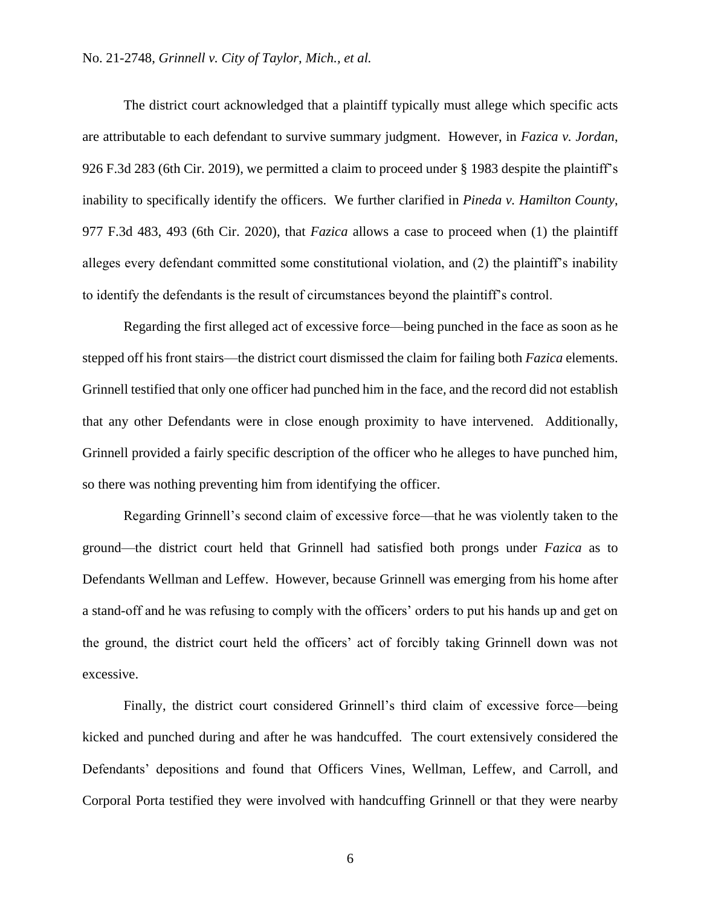The district court acknowledged that a plaintiff typically must allege which specific acts are attributable to each defendant to survive summary judgment. However, in *Fazica v. Jordan*, 926 F.3d 283 (6th Cir. 2019), we permitted a claim to proceed under § 1983 despite the plaintiff's inability to specifically identify the officers. We further clarified in *Pineda v. Hamilton County*, 977 F.3d 483, 493 (6th Cir. 2020), that *Fazica* allows a case to proceed when (1) the plaintiff alleges every defendant committed some constitutional violation, and (2) the plaintiff's inability to identify the defendants is the result of circumstances beyond the plaintiff's control.

Regarding the first alleged act of excessive force—being punched in the face as soon as he stepped off his front stairs—the district court dismissed the claim for failing both *Fazica* elements. Grinnell testified that only one officer had punched him in the face, and the record did not establish that any other Defendants were in close enough proximity to have intervened. Additionally, Grinnell provided a fairly specific description of the officer who he alleges to have punched him, so there was nothing preventing him from identifying the officer.

Regarding Grinnell's second claim of excessive force—that he was violently taken to the ground—the district court held that Grinnell had satisfied both prongs under *Fazica* as to Defendants Wellman and Leffew. However, because Grinnell was emerging from his home after a stand-off and he was refusing to comply with the officers' orders to put his hands up and get on the ground, the district court held the officers' act of forcibly taking Grinnell down was not excessive.

Finally, the district court considered Grinnell's third claim of excessive force—being kicked and punched during and after he was handcuffed. The court extensively considered the Defendants' depositions and found that Officers Vines, Wellman, Leffew, and Carroll, and Corporal Porta testified they were involved with handcuffing Grinnell or that they were nearby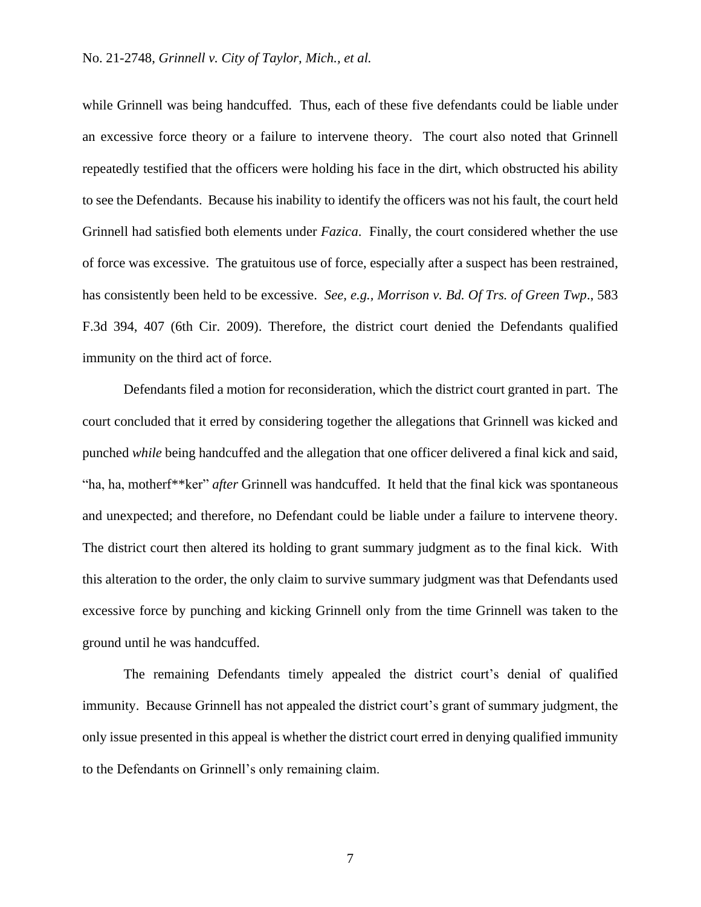while Grinnell was being handcuffed. Thus, each of these five defendants could be liable under an excessive force theory or a failure to intervene theory. The court also noted that Grinnell repeatedly testified that the officers were holding his face in the dirt, which obstructed his ability to see the Defendants. Because his inability to identify the officers was not his fault, the court held Grinnell had satisfied both elements under *Fazica*. Finally, the court considered whether the use of force was excessive. The gratuitous use of force, especially after a suspect has been restrained, has consistently been held to be excessive. *See, e.g., Morrison v. Bd. Of Trs. of Green Twp*., 583 F.3d 394, 407 (6th Cir. 2009). Therefore, the district court denied the Defendants qualified immunity on the third act of force.

Defendants filed a motion for reconsideration, which the district court granted in part. The court concluded that it erred by considering together the allegations that Grinnell was kicked and punched *while* being handcuffed and the allegation that one officer delivered a final kick and said, "ha, ha, motherf\*\*ker" *after* Grinnell was handcuffed.It held that the final kick was spontaneous and unexpected; and therefore, no Defendant could be liable under a failure to intervene theory. The district court then altered its holding to grant summary judgment as to the final kick.With this alteration to the order, the only claim to survive summary judgment was that Defendants used excessive force by punching and kicking Grinnell only from the time Grinnell was taken to the ground until he was handcuffed.

The remaining Defendants timely appealed the district court's denial of qualified immunity. Because Grinnell has not appealed the district court's grant of summary judgment, the only issue presented in this appeal is whether the district court erred in denying qualified immunity to the Defendants on Grinnell's only remaining claim.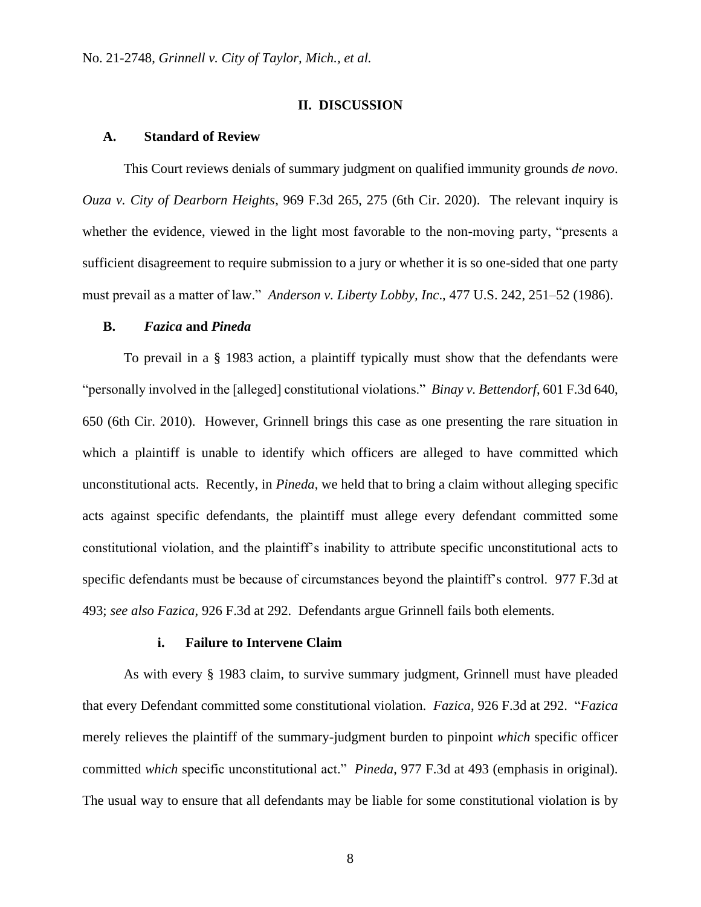## **II. DISCUSSION**

#### **A. Standard of Review**

This Court reviews denials of summary judgment on qualified immunity grounds *de novo*. *Ouza v. City of Dearborn Heights*, 969 F.3d 265, 275 (6th Cir. 2020). The relevant inquiry is whether the evidence, viewed in the light most favorable to the non-moving party, "presents a sufficient disagreement to require submission to a jury or whether it is so one-sided that one party must prevail as a matter of law." *Anderson v. Liberty Lobby, Inc*., 477 U.S. 242, 251–52 (1986).

## **B.** *Fazica* **and** *Pineda*

To prevail in a § 1983 action, a plaintiff typically must show that the defendants were "personally involved in the [alleged] constitutional violations." *Binay v. Bettendorf*, 601 F.3d 640, 650 (6th Cir. 2010). However, Grinnell brings this case as one presenting the rare situation in which a plaintiff is unable to identify which officers are alleged to have committed which unconstitutional acts. Recently, in *Pineda*, we held that to bring a claim without alleging specific acts against specific defendants, the plaintiff must allege every defendant committed some constitutional violation, and the plaintiff's inability to attribute specific unconstitutional acts to specific defendants must be because of circumstances beyond the plaintiff's control. 977 F.3d at 493; *see also Fazica*, 926 F.3d at 292. Defendants argue Grinnell fails both elements.

## **i. Failure to Intervene Claim**

As with every § 1983 claim, to survive summary judgment, Grinnell must have pleaded that every Defendant committed some constitutional violation. *Fazica*, 926 F.3d at 292. "*Fazica* merely relieves the plaintiff of the summary-judgment burden to pinpoint *which* specific officer committed *which* specific unconstitutional act." *Pineda*, 977 F.3d at 493 (emphasis in original). The usual way to ensure that all defendants may be liable for some constitutional violation is by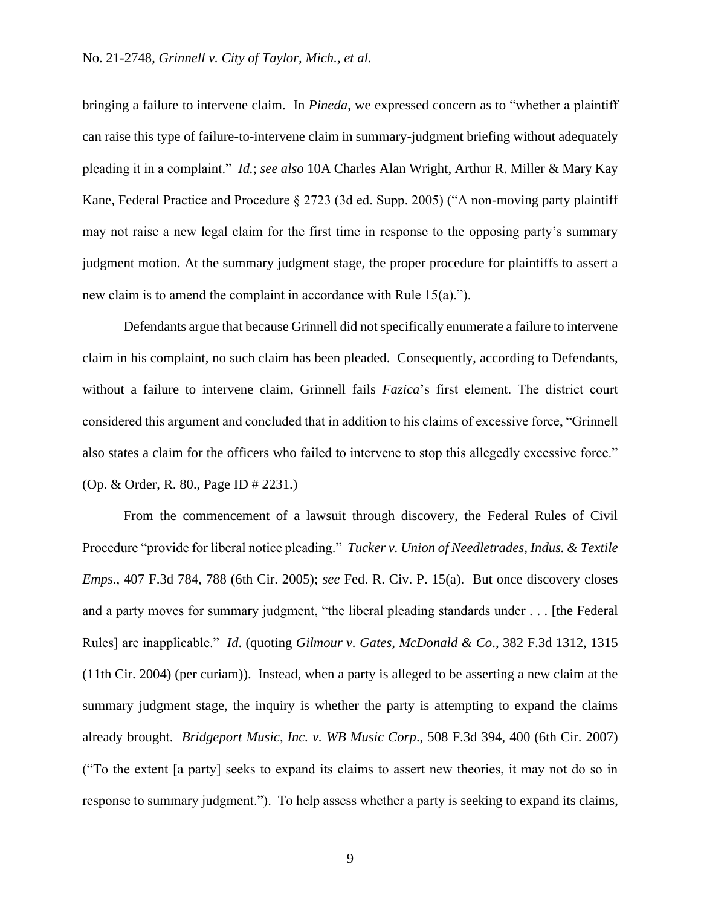bringing a failure to intervene claim. In *Pineda*, we expressed concern as to "whether a plaintiff can raise this type of failure-to-intervene claim in summary-judgment briefing without adequately pleading it in a complaint." *Id.*; *see also* 10A Charles Alan Wright, Arthur R. Miller & Mary Kay Kane, Federal Practice and Procedure § 2723 (3d ed. Supp. 2005) ("A non-moving party plaintiff may not raise a new legal claim for the first time in response to the opposing party's summary judgment motion. At the summary judgment stage, the proper procedure for plaintiffs to assert a new claim is to amend the complaint in accordance with Rule 15(a).").

Defendants argue that because Grinnell did not specifically enumerate a failure to intervene claim in his complaint, no such claim has been pleaded. Consequently, according to Defendants, without a failure to intervene claim, Grinnell fails *Fazica*'s first element. The district court considered this argument and concluded that in addition to his claims of excessive force, "Grinnell also states a claim for the officers who failed to intervene to stop this allegedly excessive force." (Op. & Order, R. 80., Page ID # 2231.)

From the commencement of a lawsuit through discovery, the Federal Rules of Civil Procedure "provide for liberal notice pleading." *Tucker v. Union of Needletrades, Indus. & Textile Emps*., 407 F.3d 784, 788 (6th Cir. 2005); *see* Fed. R. Civ. P. 15(a). But once discovery closes and a party moves for summary judgment, "the liberal pleading standards under . . . [the Federal Rules] are inapplicable." *Id*. (quoting *Gilmour v. Gates, McDonald & Co*., 382 F.3d 1312, 1315 (11th Cir. 2004) (per curiam)). Instead, when a party is alleged to be asserting a new claim at the summary judgment stage, the inquiry is whether the party is attempting to expand the claims already brought. *Bridgeport Music, Inc. v. WB Music Corp*., 508 F.3d 394, 400 (6th Cir. 2007) ("To the extent [a party] seeks to expand its claims to assert new theories, it may not do so in response to summary judgment."). To help assess whether a party is seeking to expand its claims,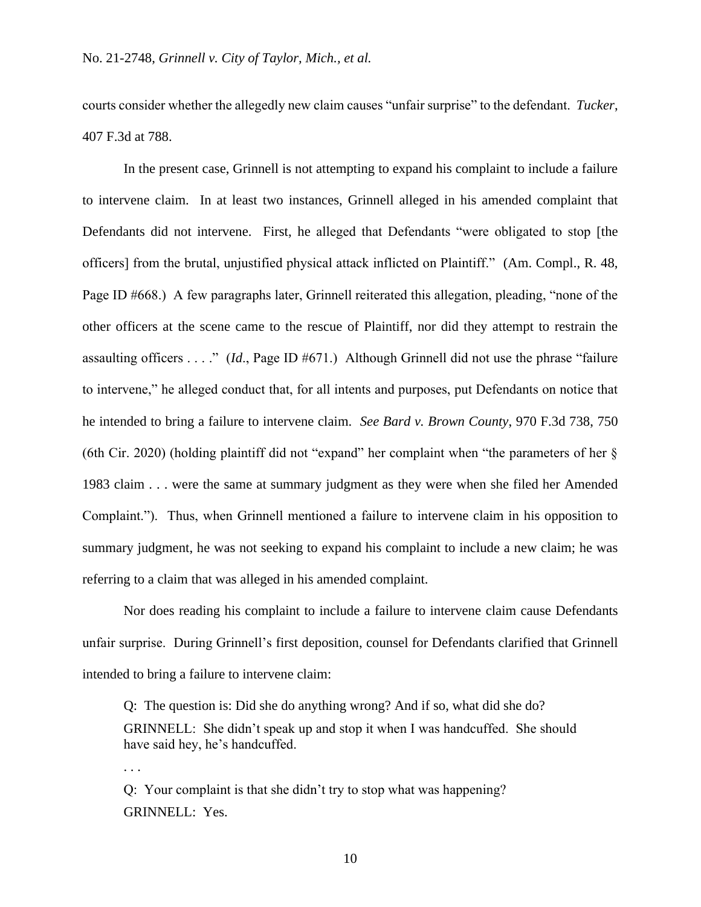courts consider whether the allegedly new claim causes "unfair surprise" to the defendant. *Tucker*, 407 F.3d at 788.

In the present case, Grinnell is not attempting to expand his complaint to include a failure to intervene claim. In at least two instances, Grinnell alleged in his amended complaint that Defendants did not intervene. First, he alleged that Defendants "were obligated to stop [the officers] from the brutal, unjustified physical attack inflicted on Plaintiff." (Am. Compl., R. 48, Page ID #668.) A few paragraphs later, Grinnell reiterated this allegation, pleading, "none of the other officers at the scene came to the rescue of Plaintiff, nor did they attempt to restrain the assaulting officers . . . ." (*Id*., Page ID #671.) Although Grinnell did not use the phrase "failure to intervene," he alleged conduct that, for all intents and purposes, put Defendants on notice that he intended to bring a failure to intervene claim. *See Bard v. Brown County*, 970 F.3d 738, 750 (6th Cir. 2020) (holding plaintiff did not "expand" her complaint when "the parameters of her § 1983 claim . . . were the same at summary judgment as they were when she filed her Amended Complaint."). Thus, when Grinnell mentioned a failure to intervene claim in his opposition to summary judgment, he was not seeking to expand his complaint to include a new claim; he was referring to a claim that was alleged in his amended complaint.

Nor does reading his complaint to include a failure to intervene claim cause Defendants unfair surprise. During Grinnell's first deposition, counsel for Defendants clarified that Grinnell intended to bring a failure to intervene claim:

Q: The question is: Did she do anything wrong? And if so, what did she do? GRINNELL: She didn't speak up and stop it when I was handcuffed. She should have said hey, he's handcuffed.

. . .

Q: Your complaint is that she didn't try to stop what was happening? GRINNELL: Yes.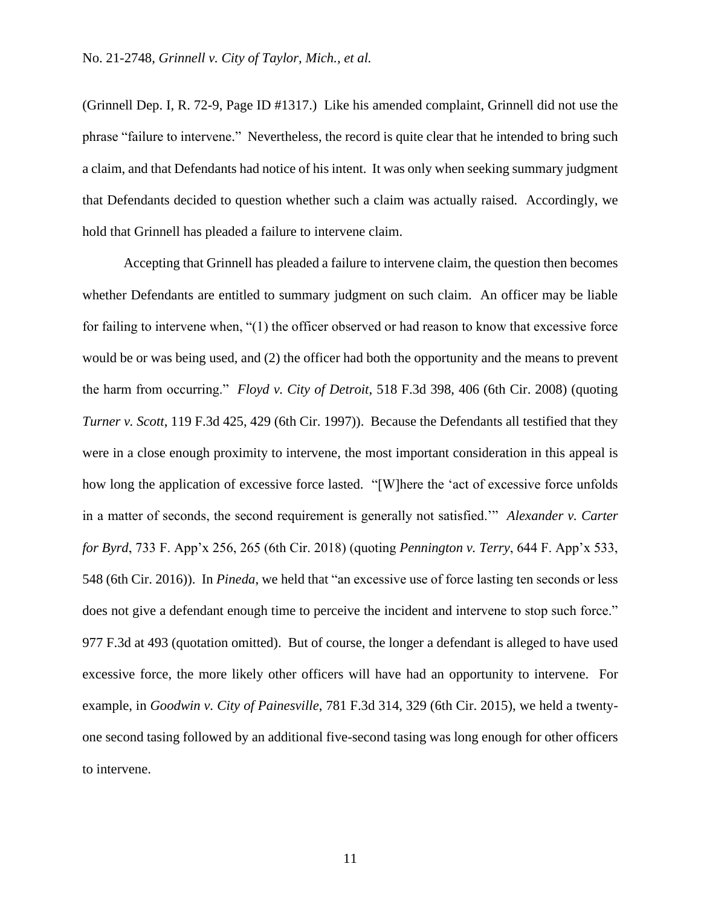(Grinnell Dep. I, R. 72-9, Page ID #1317.) Like his amended complaint, Grinnell did not use the phrase "failure to intervene." Nevertheless, the record is quite clear that he intended to bring such a claim, and that Defendants had notice of his intent. It was only when seeking summary judgment that Defendants decided to question whether such a claim was actually raised. Accordingly, we hold that Grinnell has pleaded a failure to intervene claim.

Accepting that Grinnell has pleaded a failure to intervene claim, the question then becomes whether Defendants are entitled to summary judgment on such claim. An officer may be liable for failing to intervene when, "(1) the officer observed or had reason to know that excessive force would be or was being used, and (2) the officer had both the opportunity and the means to prevent the harm from occurring." *Floyd v. City of Detroit*, 518 F.3d 398, 406 (6th Cir. 2008) (quoting *Turner v. Scott*, 119 F.3d 425, 429 (6th Cir. 1997)). Because the Defendants all testified that they were in a close enough proximity to intervene, the most important consideration in this appeal is how long the application of excessive force lasted. "[W]here the 'act of excessive force unfolds in a matter of seconds, the second requirement is generally not satisfied.'" *Alexander v. Carter for Byrd*, 733 F. App'x 256, 265 (6th Cir. 2018) (quoting *Pennington v. Terry*, 644 F. App'x 533, 548 (6th Cir. 2016)). In *Pineda*, we held that "an excessive use of force lasting ten seconds or less does not give a defendant enough time to perceive the incident and intervene to stop such force." 977 F.3d at 493 (quotation omitted). But of course, the longer a defendant is alleged to have used excessive force, the more likely other officers will have had an opportunity to intervene. For example, in *Goodwin v. City of Painesville*, 781 F.3d 314, 329 (6th Cir. 2015), we held a twentyone second tasing followed by an additional five-second tasing was long enough for other officers to intervene.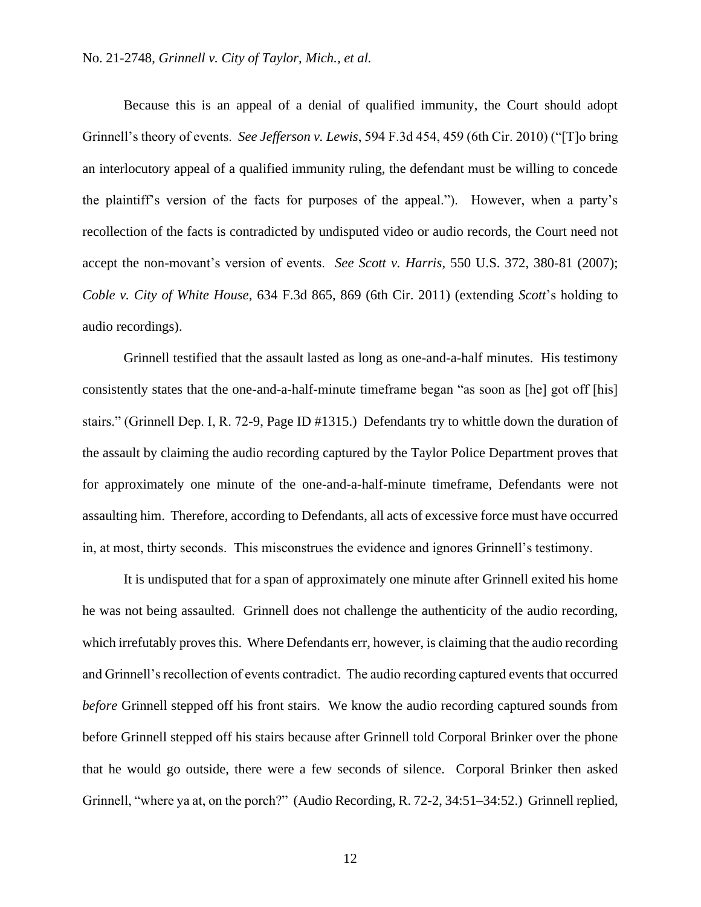Because this is an appeal of a denial of qualified immunity, the Court should adopt Grinnell's theory of events. *See Jefferson v. Lewis*, 594 F.3d 454, 459 (6th Cir. 2010) ("[T]o bring an interlocutory appeal of a qualified immunity ruling, the defendant must be willing to concede the plaintiff's version of the facts for purposes of the appeal."). However, when a party's recollection of the facts is contradicted by undisputed video or audio records, the Court need not accept the non-movant's version of events. *See Scott v. Harris*, 550 U.S. 372, 380-81 (2007); *Coble v. City of White House*, 634 F.3d 865, 869 (6th Cir. 2011) (extending *Scott*'s holding to audio recordings).

Grinnell testified that the assault lasted as long as one-and-a-half minutes. His testimony consistently states that the one-and-a-half-minute timeframe began "as soon as [he] got off [his] stairs." (Grinnell Dep. I, R. 72-9, Page ID #1315.) Defendants try to whittle down the duration of the assault by claiming the audio recording captured by the Taylor Police Department proves that for approximately one minute of the one-and-a-half-minute timeframe, Defendants were not assaulting him. Therefore, according to Defendants, all acts of excessive force must have occurred in, at most, thirty seconds. This misconstrues the evidence and ignores Grinnell's testimony.

It is undisputed that for a span of approximately one minute after Grinnell exited his home he was not being assaulted. Grinnell does not challenge the authenticity of the audio recording, which irrefutably proves this. Where Defendants err, however, is claiming that the audio recording and Grinnell's recollection of events contradict. The audio recording captured events that occurred *before* Grinnell stepped off his front stairs. We know the audio recording captured sounds from before Grinnell stepped off his stairs because after Grinnell told Corporal Brinker over the phone that he would go outside, there were a few seconds of silence.Corporal Brinker then asked Grinnell, "where ya at, on the porch?" (Audio Recording, R. 72-2, 34:51–34:52.) Grinnell replied,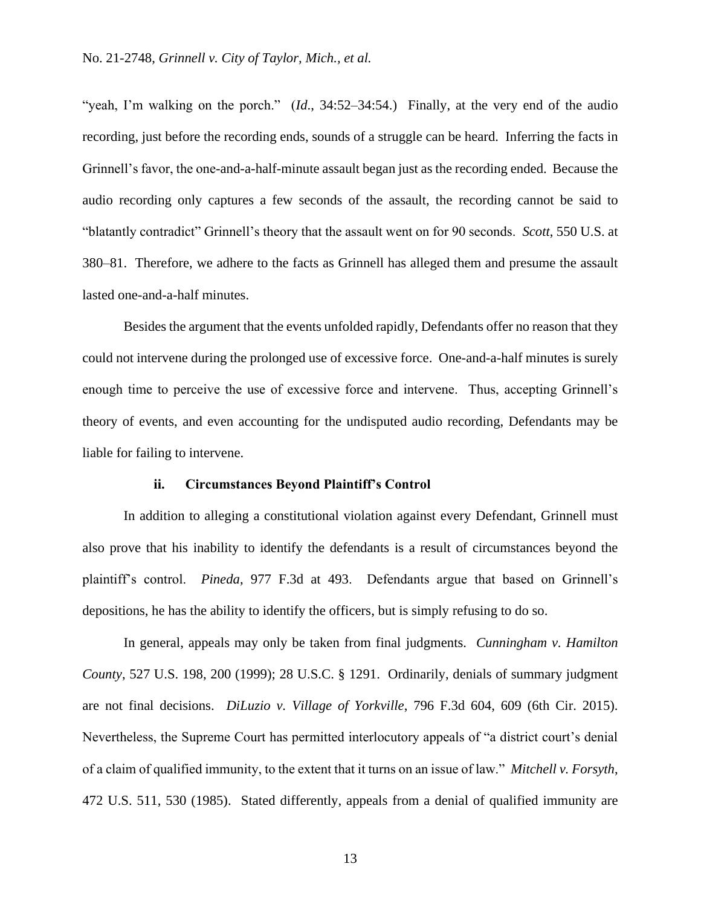"yeah, I'm walking on the porch." (*Id.*, 34:52–34:54.) Finally, at the very end of the audio recording, just before the recording ends, sounds of a struggle can be heard. Inferring the facts in Grinnell's favor, the one-and-a-half-minute assault began just as the recording ended. Because the audio recording only captures a few seconds of the assault, the recording cannot be said to "blatantly contradict" Grinnell's theory that the assault went on for 90 seconds. *Scott*, 550 U.S. at 380–81. Therefore, we adhere to the facts as Grinnell has alleged them and presume the assault lasted one-and-a-half minutes.

Besides the argument that the events unfolded rapidly, Defendants offer no reason that they could not intervene during the prolonged use of excessive force. One-and-a-half minutes is surely enough time to perceive the use of excessive force and intervene. Thus, accepting Grinnell's theory of events, and even accounting for the undisputed audio recording, Defendants may be liable for failing to intervene.

## **ii. Circumstances Beyond Plaintiff's Control**

In addition to alleging a constitutional violation against every Defendant, Grinnell must also prove that his inability to identify the defendants is a result of circumstances beyond the plaintiff's control. *Pineda*, 977 F.3d at 493. Defendants argue that based on Grinnell's depositions, he has the ability to identify the officers, but is simply refusing to do so.

In general, appeals may only be taken from final judgments. *Cunningham v. Hamilton County*, 527 U.S. 198, 200 (1999); 28 U.S.C. § 1291. Ordinarily, denials of summary judgment are not final decisions. *DiLuzio v. Village of Yorkville*, 796 F.3d 604, 609 (6th Cir. 2015). Nevertheless, the Supreme Court has permitted interlocutory appeals of "a district court's denial of a claim of qualified immunity, to the extent that it turns on an issue of law." *Mitchell v. Forsyth*, 472 U.S. 511, 530 (1985). Stated differently, appeals from a denial of qualified immunity are

13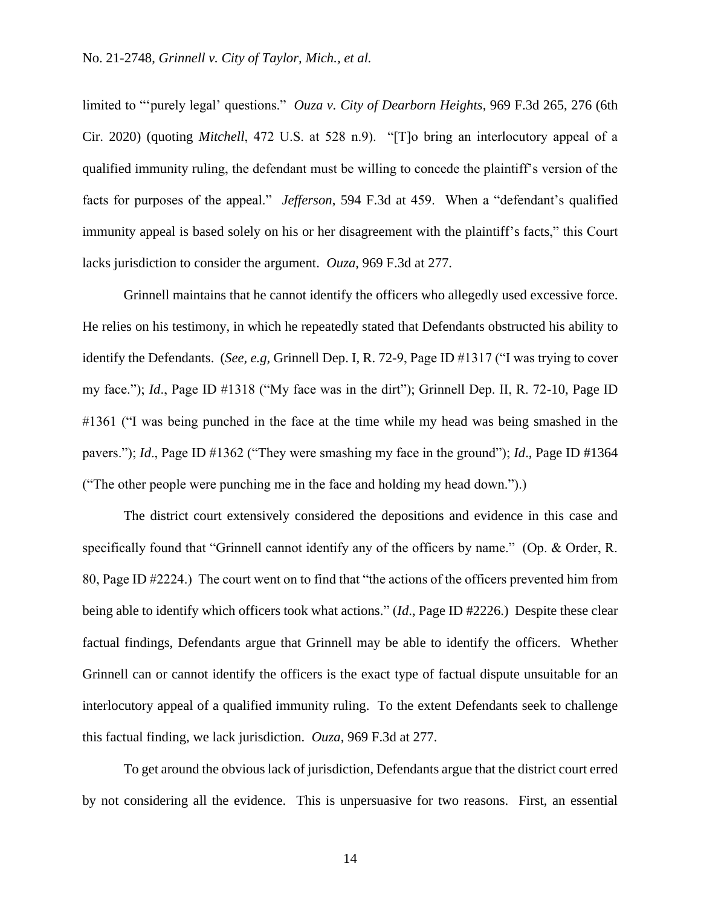limited to "'purely legal' questions." *Ouza v. City of Dearborn Heights*, 969 F.3d 265, 276 (6th Cir. 2020) (quoting *Mitchell*, 472 U.S. at 528 n.9). "[T]o bring an interlocutory appeal of a qualified immunity ruling, the defendant must be willing to concede the plaintiff's version of the facts for purposes of the appeal." *Jefferson*, 594 F.3d at 459. When a "defendant's qualified immunity appeal is based solely on his or her disagreement with the plaintiff's facts," this Court lacks jurisdiction to consider the argument. *Ouza*, 969 F.3d at 277.

Grinnell maintains that he cannot identify the officers who allegedly used excessive force. He relies on his testimony, in which he repeatedly stated that Defendants obstructed his ability to identify the Defendants. (*See, e.g,* Grinnell Dep. I, R. 72-9, Page ID #1317 ("I was trying to cover my face."); *Id*., Page ID #1318 ("My face was in the dirt"); Grinnell Dep. II, R. 72-10, Page ID #1361 ("I was being punched in the face at the time while my head was being smashed in the pavers."); *Id*., Page ID #1362 ("They were smashing my face in the ground"); *Id*., Page ID #1364 ("The other people were punching me in the face and holding my head down.").)

The district court extensively considered the depositions and evidence in this case and specifically found that "Grinnell cannot identify any of the officers by name." (Op. & Order, R. 80, Page ID #2224.) The court went on to find that "the actions of the officers prevented him from being able to identify which officers took what actions." (*Id*., Page ID #2226.) Despite these clear factual findings, Defendants argue that Grinnell may be able to identify the officers. Whether Grinnell can or cannot identify the officers is the exact type of factual dispute unsuitable for an interlocutory appeal of a qualified immunity ruling. To the extent Defendants seek to challenge this factual finding, we lack jurisdiction. *Ouza*, 969 F.3d at 277.

To get around the obvious lack of jurisdiction, Defendants argue that the district court erred by not considering all the evidence. This is unpersuasive for two reasons. First, an essential